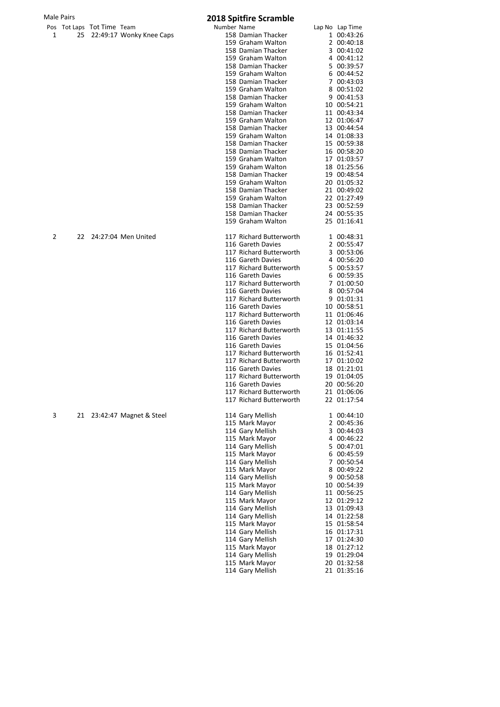## Male Pairs<br> **2018 Spitfire Scramble**

|   |    | Pos Tot Laps Tot Time Team |                          | Number Name |                                              |   | Lap No Lap Time            |
|---|----|----------------------------|--------------------------|-------------|----------------------------------------------|---|----------------------------|
| 1 | 25 |                            | 22:49:17 Wonky Knee Caps |             | 158 Damian Thacker                           |   | 1 00:43:26                 |
|   |    |                            |                          |             | 159 Graham Walton                            |   | 2 00:40:18                 |
|   |    |                            |                          |             | 158 Damian Thacker                           |   | 3 00:41:02                 |
|   |    |                            |                          |             | 159 Graham Walton                            |   | 4 00:41:12                 |
|   |    |                            |                          |             | 158 Damian Thacker                           |   | 5 00:39:57                 |
|   |    |                            |                          |             | 159 Graham Walton                            |   | 6 00:44:52                 |
|   |    |                            |                          |             | 158 Damian Thacker                           |   | 7 00:43:03                 |
|   |    |                            |                          |             | 159 Graham Walton<br>158 Damian Thacker      | 8 | 00:51:02                   |
|   |    |                            |                          |             | 159 Graham Walton                            |   | 9 00:41:53                 |
|   |    |                            |                          |             | 158 Damian Thacker                           |   | 10 00:54:21<br>11 00:43:34 |
|   |    |                            |                          |             | 159 Graham Walton                            |   | 12 01:06:47                |
|   |    |                            |                          |             | 158 Damian Thacker                           |   | 13 00:44:54                |
|   |    |                            |                          |             | 159 Graham Walton                            |   | 14 01:08:33                |
|   |    |                            |                          |             | 158 Damian Thacker                           |   | 15 00:59:38                |
|   |    |                            |                          |             | 158 Damian Thacker                           |   | 16 00:58:20                |
|   |    |                            |                          |             | 159 Graham Walton                            |   | 17 01:03:57                |
|   |    |                            |                          |             | 159 Graham Walton                            |   | 18 01:25:56                |
|   |    |                            |                          |             | 158 Damian Thacker                           |   | 19 00:48:54                |
|   |    |                            |                          |             | 159 Graham Walton                            |   | 20 01:05:32                |
|   |    |                            |                          |             | 158 Damian Thacker                           |   | 21 00:49:02                |
|   |    |                            |                          |             | 159 Graham Walton                            |   | 22 01:27:49                |
|   |    |                            |                          |             | 158 Damian Thacker                           |   | 23 00:52:59                |
|   |    |                            |                          |             | 158 Damian Thacker                           |   | 24 00:55:35                |
|   |    |                            |                          |             | 159 Graham Walton                            |   | 25 01:16:41                |
| 2 | 22 |                            | 24:27:04 Men United      |             | 117 Richard Butterworth                      |   | 1 00:48:31                 |
|   |    |                            |                          |             | 116 Gareth Davies                            |   | 2 00:55:47                 |
|   |    |                            |                          |             | 117 Richard Butterworth                      |   | 3 00:53:06                 |
|   |    |                            |                          |             | 116 Gareth Davies                            | 4 | 00:56:20                   |
|   |    |                            |                          |             | 117 Richard Butterworth                      |   | 5 00:53:57                 |
|   |    |                            |                          |             | 116 Gareth Davies                            | 6 | 00:59:35                   |
|   |    |                            |                          |             | 117 Richard Butterworth                      |   | 7 01:00:50                 |
|   |    |                            |                          |             | 116 Gareth Davies                            | 8 | 00:57:04                   |
|   |    |                            |                          |             | 117 Richard Butterworth                      |   | 9 01:01:31                 |
|   |    |                            |                          |             | 116 Gareth Davies                            |   | 10 00:58:51                |
|   |    |                            |                          |             | 117 Richard Butterworth                      |   | 11 01:06:46                |
|   |    |                            |                          |             | 116 Gareth Davies                            |   | 12 01:03:14                |
|   |    |                            |                          |             | 117 Richard Butterworth                      |   | 13 01:11:55                |
|   |    |                            |                          |             | 116 Gareth Davies                            |   | 14 01:46:32                |
|   |    |                            |                          |             | 116 Gareth Davies                            |   | 15 01:04:56                |
|   |    |                            |                          |             | 117 Richard Butterworth                      |   | 16 01:52:41                |
|   |    |                            |                          |             | 117 Richard Butterworth                      |   | 17 01:10:02                |
|   |    |                            |                          |             | 116 Gareth Davies                            |   | 18 01:21:01                |
|   |    |                            |                          |             | 117 Richard Butterworth<br>116 Gareth Davies |   | 19 01:04:05<br>20 00:56:20 |
|   |    |                            |                          |             | 117 Richard Butterworth                      |   | 21 01:06:06                |
|   |    |                            |                          |             | 117 Richard Butterworth                      |   | 22 01:17:54                |
|   |    |                            |                          |             |                                              |   |                            |
| 3 | 21 |                            | 23:42:47 Magnet & Steel  |             | 114 Gary Mellish<br>115 Mark Mayor           |   | 1 00:44:10                 |
|   |    |                            |                          |             |                                              |   | 2 00:45:36<br>3 00:44:03   |
|   |    |                            |                          |             | 114 Gary Mellish<br>115 Mark Mayor           |   | 4 00:46:22                 |
|   |    |                            |                          |             | 114 Gary Mellish                             |   | 5 00:47:01                 |
|   |    |                            |                          |             | 115 Mark Mayor                               |   | 6 00:45:59                 |
|   |    |                            |                          |             | 114 Gary Mellish                             |   | 7 00:50:54                 |
|   |    |                            |                          |             | 115 Mark Mayor                               |   | 8 00:49:22                 |
|   |    |                            |                          |             | 114 Gary Mellish                             |   | 9 00:50:58                 |
|   |    |                            |                          |             | 115 Mark Mayor                               |   | 10 00:54:39                |
|   |    |                            |                          |             | 114 Gary Mellish                             |   | 11 00:56:25                |
|   |    |                            |                          |             | 115 Mark Mayor                               |   | 12 01:29:12                |
|   |    |                            |                          |             | 114 Gary Mellish                             |   | 13 01:09:43                |
|   |    |                            |                          |             | 114 Gary Mellish                             |   | 14 01:22:58                |
|   |    |                            |                          |             | 115 Mark Mayor                               |   | 15 01:58:54                |
|   |    |                            |                          |             | 114 Gary Mellish                             |   | 16 01:17:31                |
|   |    |                            |                          |             | 114 Gary Mellish                             |   | 17 01:24:30                |
|   |    |                            |                          |             | 115 Mark Mayor                               |   | 18 01:27:12                |
|   |    |                            |                          |             | 114 Gary Mellish                             |   | 19 01:29:04                |
|   |    |                            |                          |             | 115 Mark Mayor                               |   | 20 01:32:58                |
|   |    |                            |                          |             | 114 Gary Mellish                             |   | 21 01:35:16                |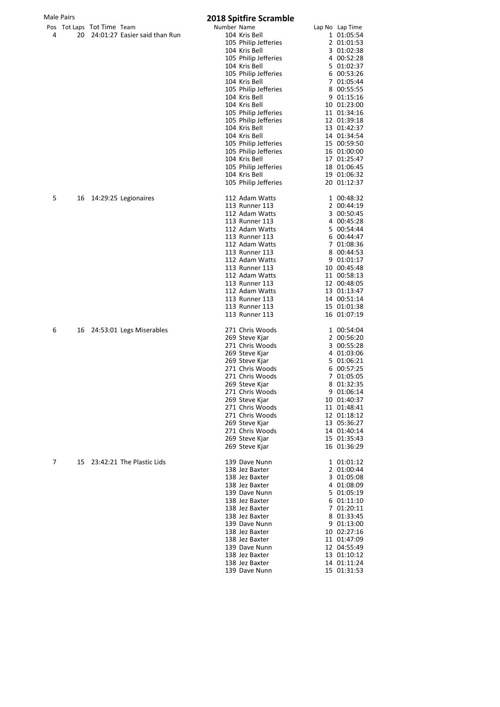## Male Pairs<br> **2018 Spitfire Scramble**

|   |    | Pos Tot Laps Tot Time Team |                               | Number Name |                                       | Lap No Lap Time            |
|---|----|----------------------------|-------------------------------|-------------|---------------------------------------|----------------------------|
| 4 | 20 |                            | 24:01:27 Easier said than Run |             | 104 Kris Bell                         | 1 01:05:54                 |
|   |    |                            |                               |             | 105 Philip Jefferies                  | 2 01:01:53                 |
|   |    |                            |                               |             | 104 Kris Bell                         | 3 01:02:38                 |
|   |    |                            |                               |             | 105 Philip Jefferies<br>104 Kris Bell | 4 00:52:28                 |
|   |    |                            |                               |             | 105 Philip Jefferies                  | 5 01:02:37<br>6 00:53:26   |
|   |    |                            |                               |             | 104 Kris Bell                         | 7 01:05:44                 |
|   |    |                            |                               |             | 105 Philip Jefferies                  | 8 00:55:55                 |
|   |    |                            |                               |             | 104 Kris Bell                         | 9 01:15:16                 |
|   |    |                            |                               |             | 104 Kris Bell                         | 10 01:23:00                |
|   |    |                            |                               |             | 105 Philip Jefferies                  | 11 01:34:16                |
|   |    |                            |                               |             | 105 Philip Jefferies                  | 12 01:39:18                |
|   |    |                            |                               |             | 104 Kris Bell                         | 13 01:42:37                |
|   |    |                            |                               |             | 104 Kris Bell                         | 14 01:34:54                |
|   |    |                            |                               |             | 105 Philip Jefferies                  | 15 00:59:50                |
|   |    |                            |                               |             | 105 Philip Jefferies                  | 16 01:00:00                |
|   |    |                            |                               |             | 104 Kris Bell                         | 17 01:25:47                |
|   |    |                            |                               |             | 105 Philip Jefferies                  | 18 01:06:45                |
|   |    |                            |                               |             | 104 Kris Bell                         | 19 01:06:32                |
|   |    |                            |                               |             | 105 Philip Jefferies                  | 20 01:12:37                |
| 5 | 16 |                            | 14:29:25 Legionaires          |             | 112 Adam Watts                        | 1 00:48:32                 |
|   |    |                            |                               |             | 113 Runner 113                        | 2 00:44:19                 |
|   |    |                            |                               |             | 112 Adam Watts                        | 3 00:50:45                 |
|   |    |                            |                               |             | 113 Runner 113                        | 4 00:45:28                 |
|   |    |                            |                               |             | 112 Adam Watts<br>113 Runner 113      | 5 00:54:44<br>6 00:44:47   |
|   |    |                            |                               |             | 112 Adam Watts                        | 7 01:08:36                 |
|   |    |                            |                               |             | 113 Runner 113                        | 8 00:44:53                 |
|   |    |                            |                               |             | 112 Adam Watts                        | 9 01:01:17                 |
|   |    |                            |                               |             | 113 Runner 113                        | 10 00:45:48                |
|   |    |                            |                               |             | 112 Adam Watts                        | 11 00:58:13                |
|   |    |                            |                               |             | 113 Runner 113                        | 12 00:48:05                |
|   |    |                            |                               |             | 112 Adam Watts                        | 13 01:13:47                |
|   |    |                            |                               |             | 113 Runner 113                        | 14 00:51:14                |
|   |    |                            |                               |             | 113 Runner 113                        | 15 01:01:38                |
|   |    |                            |                               |             | 113 Runner 113                        | 16 01:07:19                |
| 6 | 16 |                            | 24:53:01 Legs Miserables      |             | 271 Chris Woods                       | 1 00:54:04                 |
|   |    |                            |                               |             | 269 Steve Kjar                        | 2 00:56:20                 |
|   |    |                            |                               |             | 271 Chris Woods                       | 3 00:55:28                 |
|   |    |                            |                               |             | 269 Steve Kjar                        | 4 01:03:06                 |
|   |    |                            |                               |             | 269 Steve Kjar                        | 5 01:06:21                 |
|   |    |                            |                               |             | 271 Chris Woods                       | 6 00:57:25                 |
|   |    |                            |                               |             | 271 Chris Woods                       | 7 01:05:05                 |
|   |    |                            |                               |             | 269 Steve Kjar                        | 8 01:32:35                 |
|   |    |                            |                               |             | 271 Chris Woods                       | 9 01:06:14                 |
|   |    |                            |                               |             | 269 Steve Kjar                        | 10 01:40:37                |
|   |    |                            |                               |             | 271 Chris Woods                       | 11 01:48:41                |
|   |    |                            |                               |             | 271 Chris Woods<br>269 Steve Kjar     | 12 01:18:12<br>13 05:36:27 |
|   |    |                            |                               |             | 271 Chris Woods                       | 14 01:40:14                |
|   |    |                            |                               |             | 269 Steve Kjar                        | 15 01:35:43                |
|   |    |                            |                               |             | 269 Steve Kjar                        | 16 01:36:29                |
| 7 | 15 |                            | 23:42:21 The Plastic Lids     |             | 139 Dave Nunn                         | 1 01:01:12                 |
|   |    |                            |                               |             | 138 Jez Baxter                        | 2 01:00:44                 |
|   |    |                            |                               |             | 138 Jez Baxter                        | 3 01:05:08                 |
|   |    |                            |                               |             | 138 Jez Baxter                        | 4 01:08:09                 |
|   |    |                            |                               |             | 139 Dave Nunn                         | 5 01:05:19                 |
|   |    |                            |                               |             | 138 Jez Baxter                        | 6 01:11:10                 |
|   |    |                            |                               |             | 138 Jez Baxter                        | 7 01:20:11                 |
|   |    |                            |                               |             | 138 Jez Baxter                        | 8 01:33:45                 |
|   |    |                            |                               |             | 139 Dave Nunn                         | 9 01:13:00                 |
|   |    |                            |                               |             | 138 Jez Baxter                        | 10 02:27:16                |
|   |    |                            |                               |             | 138 Jez Baxter                        | 11 01:47:09                |
|   |    |                            |                               |             | 139 Dave Nunn                         | 12 04:55:49                |
|   |    |                            |                               |             | 138 Jez Baxter                        | 13 01:10:12                |
|   |    |                            |                               |             | 138 Jez Baxter                        | 14 01:11:24                |
|   |    |                            |                               |             | 139 Dave Nunn                         | 15 01:31:53                |